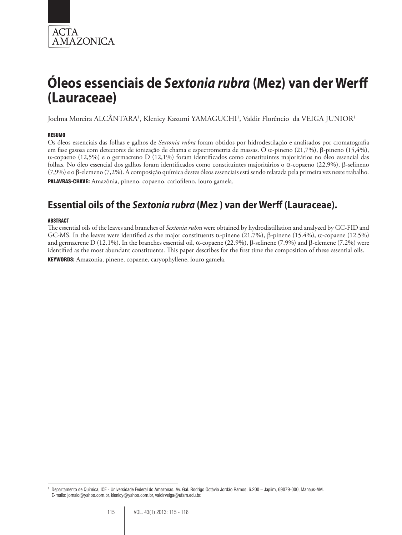

# **Óleos essenciais de** *Sextonia rubra* **(Mez) van der Werff (Lauraceae)**

Joelma Moreira ALCÂNTARA<sup>1</sup>, Klenicy Kazumi YAMAGUCHI<sup>1</sup>, Valdir Florêncio da VEIGA JUNIOR<sup>1</sup>

### RESUMO

Os óleos essenciais das folhas e galhos de *Sextonia rubra* foram obtidos por hidrodestilação e analisados por cromatografia em fase gasosa com detectores de ionização de chama e espectrometria de massas. O a-pineno (21,7%), b-pineno (15,4%), a-copaeno (12,5%) e o germacreno D (12,1%) foram identificados como constituintes majoritários no óleo essencial das folhas. No óleo essencial dos galhos foram identificados como constituintes majoritários o  $\alpha$ -copaeno (22,9%),  $\beta$ -selineno (7,9%) e o b-elemeno (7,2%). A composição química destes óleos essenciais está sendo relatada pela primeira vez neste trabalho. PALAVRAS-CHAVE: Amazônia, pineno, copaeno, cariofileno, louro gamela.

## **Essential oils of the** *Sextonia rubra* **(Mez ) van der Werff (Lauraceae).**

#### ABSTRACT

The essential oils of the leaves and branches of *Sextonia rubra* were obtained by hydrodistillation and analyzed by GC-FID and GC-MS. In the leaves were identified as the major constituents  $\alpha$ -pinene (21.7%),  $\beta$ -pinene (15.4%),  $\alpha$ -copaene (12.5%) and germacrene D (12.1%). In the branches essential oil,  $\alpha$ -copaene (22.9%),  $\beta$ -selinene (7.9%) and  $\beta$ -elemene (7.2%) were identified as the most abundant constituents. This paper describes for the first time the composition of these essential oils.

KEYWORDS: Amazonia, pinene, copaene, caryophyllene, louro gamela.

<sup>1</sup> Departamento de Química, ICE - Universidade Federal do Amazonas. Av. Gal. Rodrigo Octávio Jordão Ramos, 6.200 – Japiim, 69079-000, Manaus-AM. E-mails: jomalc@yahoo.com.br, klenicy@yahoo.com.br, valdirveiga@ufam.edu.br.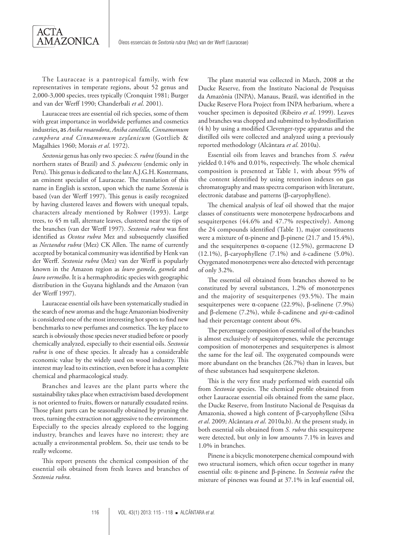The Lauraceae is a pantropical family, with few representatives in temperate regions, about 52 genus and 2,000-3,000 species, trees typically (Cronquist 1981; Burger and van der Werff 1990; Chanderbali *et al*. 2001).

**ACTA** 

**AMAZONICA** 

Lauraceae trees are essential oil rich species, some of them with great importance in worldwide perfumes and cosmetics industries, as *Aniba rosaeodora*, *Aniba canelilla, Cinnamomum camphora and Cinnamomum zeylanicum* (Gottlieb & Magalhães 1960; Morais *et al*. 1972).

*Sextonia* genus has only two species: *S. rubra* (found in the northern states of Brazil) and *S. pubescens* (endemic only in Peru). This genus is dedicated to the late A.J.G.H. Kostermans, an eminent specialist of Lauraceae. The translation of this name in English is sexton, upon which the name *Sextonia* is based (van der Werff 1997). This genus is easily recognized by having clustered leaves and flowers with unequal tepals, characters already mentioned by Rohwer (1993). Large trees, to 45 m tall, alternate leaves, clustered near the tips of the branches (van der Werff 1997). *Sextonia rubra* was first identified as *Ocotea rubra* Mez and subsequently classified as *Nectandra rubra* (Mez) CK Allen. The name of currently accepted by botanical community was identified by Henk van der Werff. *Sextonia rubra* (Mez) van der Werff is popularly known in the Amazon region as *louro gamela*, *gamela* and *louro vermelho*. It is a hermaphroditic species with geographic distribution in the Guyana highlands and the Amazon (van der Werff 1997).

Lauraceae essential oils have been systematically studied in the search of new aromas and the huge Amazonian biodiversity is considered one of the most interesting hot spots to find new benchmarks to new perfumes and cosmetics. The key place to search is obviously those species never studied before or poorly chemically analyzed, especially to their essential oils. *Sextonia rubra* is one of these species. It already has a considerable economic value by the widely used on wood industry. This interest may lead to its extinction, even before it has a complete chemical and pharmacological study.

Branches and leaves are the plant parts where the sustainability takes place when extractivism based development is not oriented to fruits, flowers or naturally exsudated resins. Those plant parts can be seasonally obtained by pruning the trees, turning the extraction not aggressive to the environment. Especially to the species already explored to the logging industry, branches and leaves have no interest; they are actually a environmental problem. So, their use tends to be really welcome.

This report presents the chemical composition of the essential oils obtained from fresh leaves and branches of *Sextonia rubra*.

The plant material was collected in March, 2008 at the Ducke Reserve, from the Instituto Nacional de Pesquisas da Amazônia (INPA), Manaus, Brazil, was identified in the Ducke Reserve Flora Project from INPA herbarium, where a voucher specimen is deposited (Ribeiro *et al*. 1999). Leaves and branches was chopped and submitted to hydrodistillation (4 h) by using a modified Clevenger-type apparatus and the distilled oils were collected and analyzed using a previously reported methodology (Alcântara *et al*. 2010a).

Essential oils from leaves and branches from *S. rubra* yielded 0.14% and 0.01%, respectively. The whole chemical composition is presented at Table 1, with about 95% of the content identified by using retention indexes on gas chromatography and mass spectra comparison with literature, electronic database and patterns (b-caryophyllene).

The chemical analysis of leaf oil showed that the major classes of constituents were monoterpene hydrocarbons and sesquiterpenes (44.6% and 47.7% respectively). Among the 24 compounds identified (Table 1), major constituents were a mixture of α-pinene and β-pinene (21.7 and 15.4%), and the sesquiterpenes α-copaene (12.5%), germacrene D (12.1%), β-caryophyllene (7.1%) and δ-cadinene (5.0%). Oxygenated monoterpenes were also detected with percentage of only 3.2%.

The essential oil obtained from branches showed to be constituted by several substances, 1.2% of monoterpenes and the majority of sesquiterpenes (93.5%). The main sesquiterpenes were α-copaene (22.9%), β-selinene (7.9%) and β-elemene (7.2%), while δ-cadinene and *epi*-α-cadinol had their percentage content about 6%.

The percentage composition of essential oil of the branches is almost exclusively of sesquiterpenes, while the percentage composition of monoterpenes and sesquiterpenes is almost the same for the leaf oil. The oxygenated compounds were more abundant on the branches (26.7%) than in leaves, but of these substances had sesquiterpene skeleton.

This is the very first study performed with essential oils from *Sextonia* species. The chemical profile obtained from other Lauraceae essential oils obtained from the same place, the Ducke Reserve, from Instituto Nacional de Pesquisas da Amazonia, showed a high content of  $\beta$ -caryophyllene (Silva *et al*. 2009; Alcântara *et al*. 2010a,b). At the present study, in both essential oils obtained from *S. rubra* this sesquiterpene were detected, but only in low amounts 7.1% in leaves and 1.0% in branches.

Pinene is a bicyclic monoterpene chemical compound with two structural isomers, which often occur together in many essential oils: α-pinene and β-pinene. In *Sextonia rubra* the mixture of pinenes was found at 37.1% in leaf essential oil,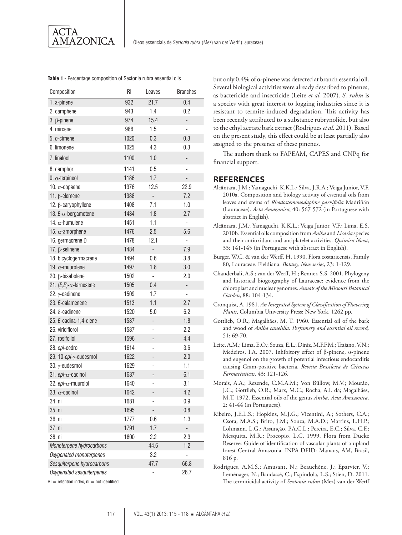| Composition                       | RI   | Leaves | <b>Branches</b> |
|-----------------------------------|------|--------|-----------------|
| 1. a-pinene                       | 932  | 21.7   | 0.4             |
| 2. camphene                       | 943  | 1.4    | 0.2             |
| $3. \beta$ -pinene                | 974  | 15.4   |                 |
| 4. mircene                        | 986  | 1.5    |                 |
| 5. p-cimene                       | 1020 | 0.3    | 0.3             |
| 6. limonene                       | 1025 | 4.3    | 0.3             |
| 7. linalool                       | 1100 | 1.0    |                 |
| 8. camphor                        | 1141 | 0.5    |                 |
| 9. $\alpha$ -terpineol            | 1186 | 1.7    |                 |
| 10. $\alpha$ -copaene             | 1376 | 12.5   | 22.9            |
| 11. $\beta$ -elemene              | 1388 | -      | 7.2             |
| 12. β-caryophyllene               | 1408 | 7.1    | 1.0             |
| 13. $E$ - $\alpha$ -bergamotene   | 1434 | 1.8    | 2.7             |
| 14. $\alpha$ -humulene            | 1451 | 1.1    |                 |
| 15. $\alpha$ -amorphene           | 1476 | 2.5    | 5.6             |
| 16. germacrene D                  | 1478 | 12.1   |                 |
| 17. β-selinene                    | 1484 | ÷      | 7.9             |
| 18. bicyclogermacrene             | 1494 | 0.6    | 3.8             |
| 19. $\alpha$ -muurolene           | 1497 | 1.8    | 3.0             |
| 20. β-bisabolene                  | 1502 |        | 2.0             |
| 21. $(E,E)$ - $\alpha$ -farnesene | 1505 | 0.4    |                 |
| 22. y-cadinene                    | 1509 | 1.7    |                 |
| 23. E-calamenene                  | 1513 | 1.1    | 2.7             |
| 24. δ-cadinene                    | 1520 | 5.0    | 6.2             |
| 25. E-cadina-1,4-diene            | 1537 | ÷      | 1.8             |
| 26. viridiflorol                  | 1587 |        | 2.2             |
| 27. rosifoliol                    | 1596 | -      | 4.4             |
| 28. epi-cedrol                    | 1614 |        | 3.6             |
| 29. 10-epi-y-eudesmol             | 1622 | -      | 2.0             |
| 30. y-eudesmol                    | 1629 |        | 1.1             |
| 31. epi-α-cadinol                 | 1637 | ÷      | 6.1             |
| 32. epi-a-muurolol                | 1640 |        | 3.1             |
| 33. $\alpha$ -cadinol             | 1642 | Ĩ.     | 4.2             |
| 34. ni                            | 1681 |        | 0.9             |
| 35. ni                            | 1695 |        | 0.8             |
| 36. ni                            | 1777 | 0.6    | 1.3             |
| 37. ni                            | 1791 | 1.7    |                 |
| 38. ni                            | 1800 | 2.2    | 2.3             |
| Monoterpene hydrocarbons          |      | 44.6   | 1.2             |
| Oxygenated monoterpenes           |      | 3.2    |                 |
| Sesquiterpene hydrocarbons        |      | 47.7   | 66.8            |
| Oxygenated sesquiterpenes         |      |        | 26.7            |

**Table 1 -** Percentage composition of Sextonia rubra essential oils

 $RI =$  retention index,  $ni =$  not identified

but only 0.4% of α-pinene was detected at branch essential oil. Several biological activities were already described to pinenes, as bactericide and insecticide (Leite *et al*. 2007). *S. rubra* is a species with great interest to logging industries since it is resistant to termite-induced degradation. This activity has been recently attributed to a substance rubrynolide, but also to the ethyl acetate bark extract (Rodrigues *et al*. 2011). Based on the present study, this effect could be at least partially also assigned to the presence of these pinenes.

The authors thank to FAPEAM, CAPES and CNPq for financial support.

### **REFERENCES**

- Alcântara, J.M.; Yamaguchi, K.K.L.; Silva, J.R.A.; Veiga Junior, V.F. 2010a. Composition and biology activity of essential oils from leaves and stems of *Rhodostemonodaphne parvifolia* Madriñán (Lauraceae). *Acta Amazonica*, 40: 567-572 (in Portuguese with abstract in English).
- Alcântara, J.M.; Yamaguchi, K.K.L.; Veiga Junior, V.F.; Lima, E.S. 2010b. Essential oils composition from *Aniba* and *Licaria* species and their antioxidant and antiplatelet activities. *Quimica Nova*, 33: 141-145 (in Portuguese with abstract in English).
- Burger, W.C. & van der Werff, H. 1990. Flora costaricensis. Family 80, Lauraceae. Fieldiana. *Botany, New series*, 23: 1-129.
- Chanderbali, A.S.; van der Werff, H.; Renner, S.S. 2001. Phylogeny and historical biogeography of Lauraceae: evidence from the chloroplast and nuclear genomes. *Annals of the Missouri Botanical Garden*, 88: 104-134.
- Cronquist, A. 1981. *An Integrated System of Classification of Flowering Plants*, Columbia University Press: New York. 1262 pp.
- Gottlieb, O.R.; Magalhães, M. T. 1960. Essential oil of the bark and wood of *Aniba canelilla*. *Perfumery and essential oil record,* 51: 69-70.
- Leite, A.M.; Lima, E.O.; Souza, E.L.; Diniz, M.F.F.M.; Trajano, V.N.; Medeiros, I.A. 2007. Inhibitory effect of β-pinene, α-pinene and eugenol on the growth of potential infectious endocarditis causing Gram-positive bacteria. *Revista Brasileira de Ciências Farmacêuticas*, 43: 121-126.
- Morais, A.A.; Rezende, C.M.A.M.; Von Büllow, M.V.; Mourão, J.C.; Gottlieb, O.R.; Marx, M.C.; Rocha, A.I. da; Magalhães, M.T. 1972. Essential oils of the genus *Aniba*. *Acta Amazonica,* 2: 41-44 (in Portuguese).
- Ribeiro, J.E.L.S.; Hopkins, M.J.G.; Vicentini, A.; Sothers, C.A.; Csota, M.A.S.; Brito, J.M.; Souza, M.A.D.; Martins, L.H.P.; Lohmann, L.G.; Assunção, P.A.C.L.; Pereira, E.C.; Silva, C.F.; Mesquita, M.R.; Procopio, L.C. 1999. Flora from Ducke Reserve: Guide of identification of vascular plants of a upland forest Central Amazonia. INPA-DFID: Manaus, AM, Brasil, 816 p.
- Rodrigues, A.M.S.; Amusant, N.; Beauchêne, J.; Eparvier, V.; Leménager, N.; Baudassé, C.; Espindola, L.S.; Stien, D. 2011. The termiticidal activity of *Sextonia rubra* (Mez) van der Werff